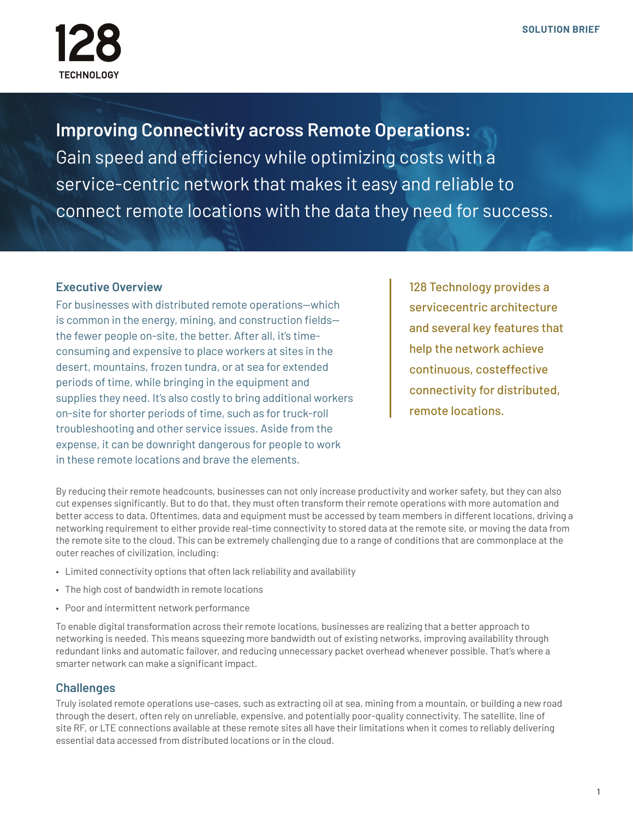

**Improving Connectivity across Remote Operations:** Gain speed and efficiency while optimizing costs with a service-centric network that makes it easy and reliable to connect remote locations with the data they need for success.

# **Executive Overview**

For businesses with distributed remote operations—which is common in the energy, mining, and construction fields the fewer people on-site, the better. After all, it's timeconsuming and expensive to place workers at sites in the desert, mountains, frozen tundra, or at sea for extended periods of time, while bringing in the equipment and supplies they need. It's also costly to bring additional workers on-site for shorter periods of time, such as for truck-roll troubleshooting and other service issues. Aside from the expense, it can be downright dangerous for people to work in these remote locations and brave the elements.

128 Technology provides a servicecentric architecture and several key features that help the network achieve continuous, costeffective connectivity for distributed, remote locations.

By reducing their remote headcounts, businesses can not only increase productivity and worker safety, but they can also cut expenses significantly. But to do that, they must often transform their remote operations with more automation and better access to data. Oftentimes, data and equipment must be accessed by team members in different locations, driving a networking requirement to either provide real-time connectivity to stored data at the remote site, or moving the data from the remote site to the cloud. This can be extremely challenging due to a range of conditions that are commonplace at the outer reaches of civilization, including:

- Limited connectivity options that often lack reliability and availability
- The high cost of bandwidth in remote locations
- Poor and intermittent network performance

To enable digital transformation across their remote locations, businesses are realizing that a better approach to networking is needed. This means squeezing more bandwidth out of existing networks, improving availability through redundant links and automatic failover, and reducing unnecessary packet overhead whenever possible. That's where a smarter network can make a significant impact.

# **Challenges**

Truly isolated remote operations use-cases, such as extracting oil at sea, mining from a mountain, or building a new road through the desert, often rely on unreliable, expensive, and potentially poor-quality connectivity. The satellite, line of site RF, or LTE connections available at these remote sites all have their limitations when it comes to reliably delivering essential data accessed from distributed locations or in the cloud.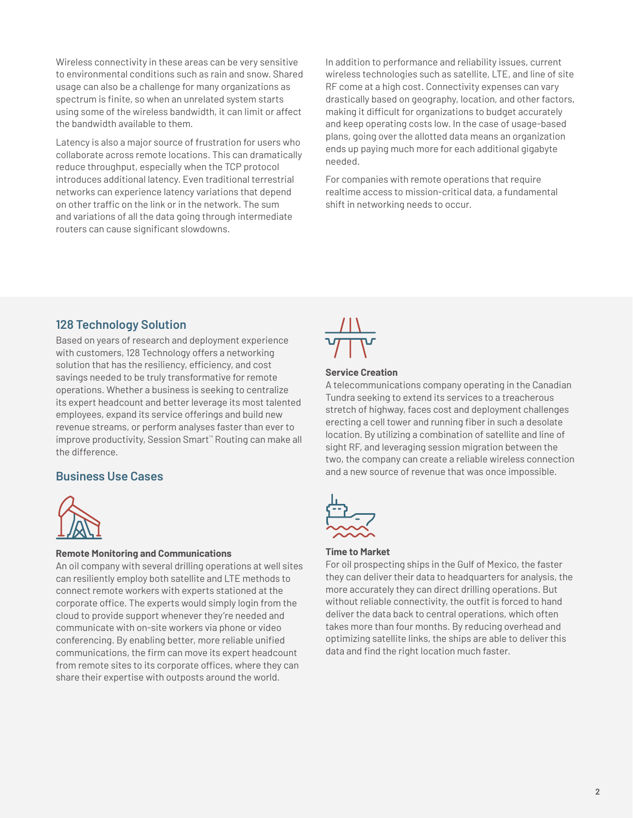Wireless connectivity in these areas can be very sensitive to environmental conditions such as rain and snow. Shared usage can also be a challenge for many organizations as spectrum is finite, so when an unrelated system starts using some of the wireless bandwidth, it can limit or affect the bandwidth available to them.

Latency is also a major source of frustration for users who collaborate across remote locations. This can dramatically reduce throughput, especially when the TCP protocol introduces additional latency. Even traditional terrestrial networks can experience latency variations that depend on other traffic on the link or in the network. The sum and variations of all the data going through intermediate routers can cause significant slowdowns.

In addition to performance and reliability issues, current wireless technologies such as satellite, LTE, and line of site RF come at a high cost. Connectivity expenses can vary drastically based on geography, location, and other factors, making it difficult for organizations to budget accurately and keep operating costs low. In the case of usage-based plans, going over the allotted data means an organization ends up paying much more for each additional gigabyte needed.

For companies with remote operations that require realtime access to mission-critical data, a fundamental shift in networking needs to occur.

## **128 Technology Solution**

Based on years of research and deployment experience with customers, 128 Technology offers a networking solution that has the resiliency, efficiency, and cost savings needed to be truly transformative for remote operations. Whether a business is seeking to centralize its expert headcount and better leverage its most talented employees, expand its service offerings and build new revenue streams, or perform analyses faster than ever to improve productivity, Session Smart™ Routing can make all the difference.

### **Business Use Cases**



#### **Remote Monitoring and Communications**

An oil company with several drilling operations at well sites can resiliently employ both satellite and LTE methods to connect remote workers with experts stationed at the corporate office. The experts would simply login from the cloud to provide support whenever they're needed and communicate with on-site workers via phone or video conferencing. By enabling better, more reliable unified communications, the firm can move its expert headcount from remote sites to its corporate offices, where they can share their expertise with outposts around the world.



#### **Service Creation**

A telecommunications company operating in the Canadian Tundra seeking to extend its services to a treacherous stretch of highway, faces cost and deployment challenges erecting a cell tower and running fiber in such a desolate location. By utilizing a combination of satellite and line of sight RF, and leveraging session migration between the two, the company can create a reliable wireless connection and a new source of revenue that was once impossible.



### **Time to Market**

For oil prospecting ships in the Gulf of Mexico, the faster they can deliver their data to headquarters for analysis, the more accurately they can direct drilling operations. But without reliable connectivity, the outfit is forced to hand deliver the data back to central operations, which often takes more than four months. By reducing overhead and optimizing satellite links, the ships are able to deliver this data and find the right location much faster.